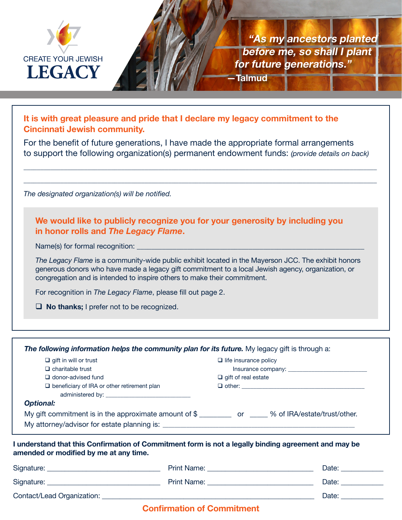

**"As my ancestors planted before me, so shall I plant for future generations." —Talmud**

**It is with great pleasure and pride that I declare my legacy commitment to the Cincinnati Jewish community.**

For the benefit of future generations, I have made the appropriate formal arrangements to support the following organization(s) permanent endowment funds: *(provide details on back)*

\_\_\_\_\_\_\_\_\_\_\_\_\_\_\_\_\_\_\_\_\_\_\_\_\_\_\_\_\_\_\_\_\_\_\_\_\_\_\_\_\_\_\_\_\_\_\_\_\_\_\_\_\_\_\_\_\_\_\_\_\_\_\_\_\_\_\_\_\_\_\_\_\_\_\_\_\_\_\_\_\_\_\_\_\_\_\_\_\_\_\_\_\_\_\_\_\_\_\_\_\_\_\_\_\_

\_\_\_\_\_\_\_\_\_\_\_\_\_\_\_\_\_\_\_\_\_\_\_\_\_\_\_\_\_\_\_\_\_\_\_\_\_\_\_\_\_\_\_\_\_\_\_\_\_\_\_\_\_\_\_\_\_\_\_\_\_\_\_\_\_\_\_\_\_\_\_\_\_\_\_\_\_\_\_\_\_\_\_\_\_\_\_\_\_\_\_\_\_\_\_\_\_\_\_\_\_\_\_\_\_

*The designated organization(s) will be notified.*

**We would like to publicly recognize you for your generosity by including you in honor rolls and** *The Legacy Flame***.** 

Name(s) for formal recognition:

*The Legacy Flame* is a community-wide public exhibit located in the Mayerson JCC. The exhibit honors generous donors who have made a legacy gift commitment to a local Jewish agency, organization, or congregation and is intended to inspire others to make their commitment.

For recognition in *The Legacy Flame*, please fill out page 2.

**No thanks;** I prefer not to be recognized.

**The following information helps the community plan for its future.** My legacy gift is through a: *Optional:* My gift commitment is in the approximate amount of \$ \_\_\_\_\_\_\_\_\_\_\_ or \_\_\_\_\_ % of IRA/estate/trust/other. My attorney/advisor for estate planning is:  $\Box$  gift in will or trust  $\Box$  charitable trust  $\Box$  donor-advised fund D beneficiary of IRA or other retirement plan administered by: \_\_\_\_  $\Box$  life insurance policy Insurance company: \_\_\_\_\_\_  $\Box$  gift of real estate  $\Box$  other:

**I understand that this Confirmation of Commitment form is not a legally binding agreement and may be amended or modified by me at any time.**

| Signature:                 | <b>Print Name:</b> | Date: |
|----------------------------|--------------------|-------|
| Signature:                 | <b>Print Name:</b> | Date: |
| Contact/Lead Organization: |                    | Date: |

## **Confirmation of Commitment**